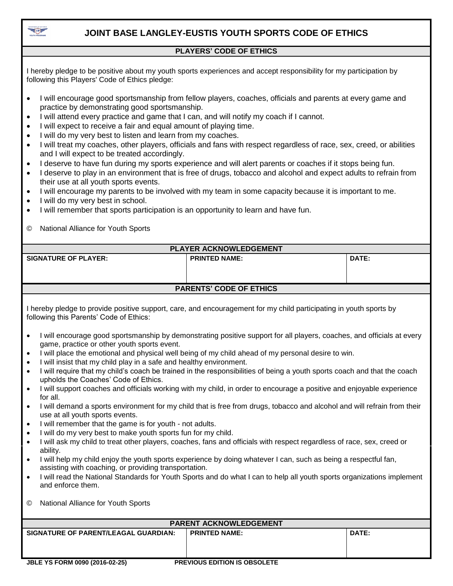

## **JOINT BASE LANGLEY-EUSTIS YOUTH SPORTS CODE OF ETHICS**

## **PLAYERS' CODE OF ETHICS**

I hereby pledge to be positive about my youth sports experiences and accept responsibility for my participation by following this Players' Code of Ethics pledge:

- I will encourage good sportsmanship from fellow players, coaches, officials and parents at every game and practice by demonstrating good sportsmanship.
- I will attend every practice and game that I can, and will notify my coach if I cannot.
- I will expect to receive a fair and equal amount of playing time.
- I will do my very best to listen and learn from my coaches.
- I will treat my coaches, other players, officials and fans with respect regardless of race, sex, creed, or abilities and I will expect to be treated accordingly.
- I deserve to have fun during my sports experience and will alert parents or coaches if it stops being fun.
- I deserve to play in an environment that is free of drugs, tobacco and alcohol and expect adults to refrain from their use at all youth sports events.
- I will encourage my parents to be involved with my team in some capacity because it is important to me.
- I will do my very best in school.
- I will remember that sports participation is an opportunity to learn and have fun.

© National Alliance for Youth Sports

| PLAYER ACKNOWLEDGEMENT                                                                                                                                                                                                                                                                                        |                                                                                                                          |       |  |  |  |  |
|---------------------------------------------------------------------------------------------------------------------------------------------------------------------------------------------------------------------------------------------------------------------------------------------------------------|--------------------------------------------------------------------------------------------------------------------------|-------|--|--|--|--|
| <b>SIGNATURE OF PLAYER:</b>                                                                                                                                                                                                                                                                                   | <b>PRINTED NAME:</b>                                                                                                     | DATE: |  |  |  |  |
|                                                                                                                                                                                                                                                                                                               |                                                                                                                          |       |  |  |  |  |
|                                                                                                                                                                                                                                                                                                               |                                                                                                                          |       |  |  |  |  |
|                                                                                                                                                                                                                                                                                                               | <b>PARENTS' CODE OF ETHICS</b>                                                                                           |       |  |  |  |  |
| I hereby pledge to provide positive support, care, and encouragement for my child participating in youth sports by<br>following this Parents' Code of Ethics:<br>I will encourage good sportsmanship by demonstrating positive support for all players, coaches, and officials at every<br>$\bullet$          |                                                                                                                          |       |  |  |  |  |
| game, practice or other youth sports event.<br>I will place the emotional and physical well being of my child ahead of my personal desire to win.<br>$\bullet$<br>I will insist that my child play in a safe and healthy environment.<br>$\bullet$                                                            |                                                                                                                          |       |  |  |  |  |
| $\bullet$<br>upholds the Coaches' Code of Ethics.<br>$\bullet$                                                                                                                                                                                                                                                | I will require that my child's coach be trained in the responsibilities of being a youth sports coach and that the coach |       |  |  |  |  |
| I will support coaches and officials working with my child, in order to encourage a positive and enjoyable experience<br>for all.<br>I will demand a sports environment for my child that is free from drugs, tobacco and alcohol and will refrain from their<br>$\bullet$<br>use at all youth sports events. |                                                                                                                          |       |  |  |  |  |
| I will remember that the game is for youth - not adults.<br>$\bullet$                                                                                                                                                                                                                                         |                                                                                                                          |       |  |  |  |  |
| I will do my very best to make youth sports fun for my child.<br>$\bullet$                                                                                                                                                                                                                                    |                                                                                                                          |       |  |  |  |  |
| I will ask my child to treat other players, coaches, fans and officials with respect regardless of race, sex, creed or<br>$\bullet$<br>ability.                                                                                                                                                               |                                                                                                                          |       |  |  |  |  |
| I will help my child enjoy the youth sports experience by doing whatever I can, such as being a respectful fan,<br>$\bullet$<br>assisting with coaching, or providing transportation.                                                                                                                         |                                                                                                                          |       |  |  |  |  |
| $\bullet$<br>and enforce them.                                                                                                                                                                                                                                                                                | I will read the National Standards for Youth Sports and do what I can to help all youth sports organizations implement   |       |  |  |  |  |
| National Alliance for Youth Sports<br>O                                                                                                                                                                                                                                                                       |                                                                                                                          |       |  |  |  |  |
| <b>PARENT ACKNOWLEDGEMENT</b>                                                                                                                                                                                                                                                                                 |                                                                                                                          |       |  |  |  |  |